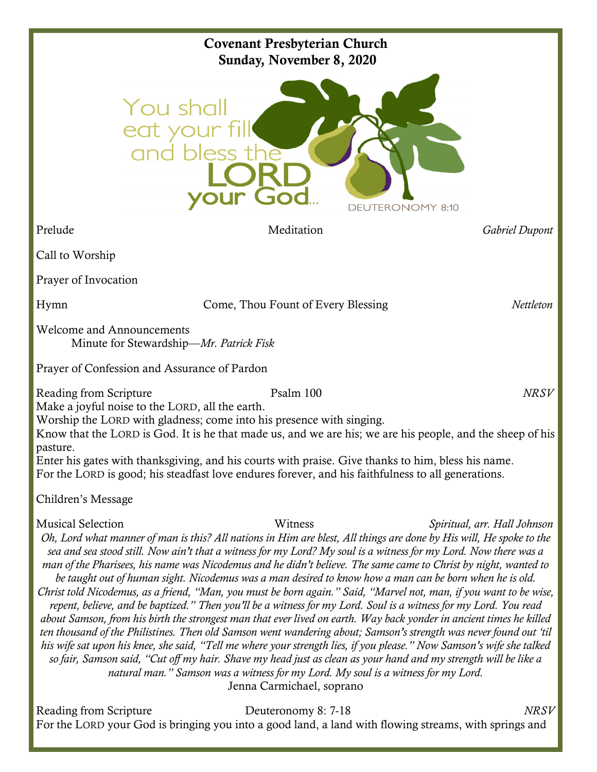